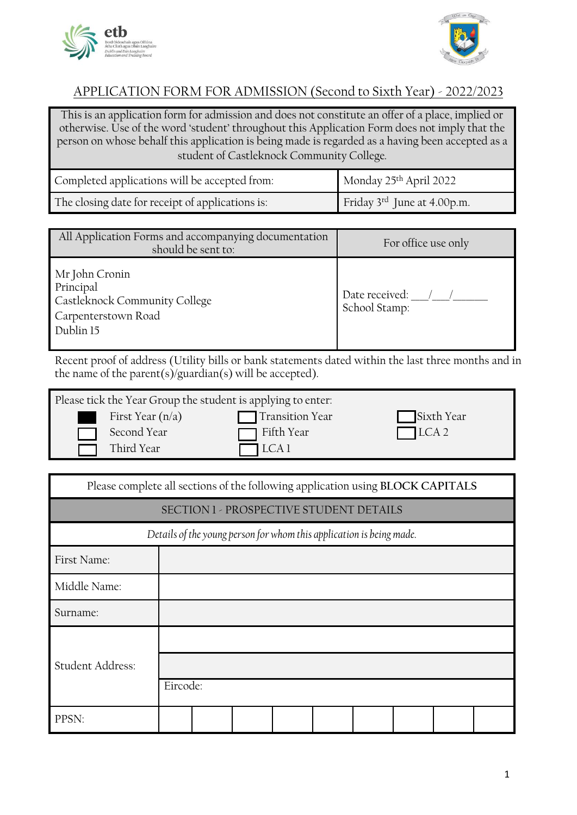



## APPLICATION FORM FOR ADMISSION (Second to Sixth Year) - 2022/2023

This is an application form for admission and does not constitute an offer of a place, implied or otherwise. Use of the word 'student' throughout this Application Form does not imply that the person on whose behalf this application is being made is regarded as a having been accepted as a student of Castleknock Community College*.*

| Completed applications will be accepted from:    | Monday 25th April 2022      |
|--------------------------------------------------|-----------------------------|
| The closing date for receipt of applications is: | Friday 3rd June at 4.00p.m. |

| All Application Forms and accompanying documentation<br>should be sent to:                       | For office use only             |
|--------------------------------------------------------------------------------------------------|---------------------------------|
| Mr John Cronin<br>Principal<br>Castleknock Community College<br>Carpenterstown Road<br>Dublin 15 | Date received:<br>School Stamp: |

Recent proof of address (Utility bills or bank statements dated within the last three months and in the name of the parent(s)/guardian(s) will be accepted).

| Please tick the Year Group the student is applying to enter: |                        |             |
|--------------------------------------------------------------|------------------------|-------------|
| First Year $(n/a)$                                           | <b>Transition Year</b> | Sixth Year  |
| Second Year                                                  | Fifth Year             | $\Box$ LCA2 |
| Third Year                                                   | $\Box$ LCA 1           |             |

| Please complete all sections of the following application using BLOCK CAPITALS |                                                                      |  |  |  |  |  |  |  |
|--------------------------------------------------------------------------------|----------------------------------------------------------------------|--|--|--|--|--|--|--|
|                                                                                | SECTION 1 - PROSPECTIVE STUDENT DETAILS                              |  |  |  |  |  |  |  |
|                                                                                | Details of the young person for whom this application is being made. |  |  |  |  |  |  |  |
| First Name:                                                                    |                                                                      |  |  |  |  |  |  |  |
| Middle Name:                                                                   |                                                                      |  |  |  |  |  |  |  |
| Surname:                                                                       |                                                                      |  |  |  |  |  |  |  |
| Student Address:                                                               | Eircode:                                                             |  |  |  |  |  |  |  |
|                                                                                |                                                                      |  |  |  |  |  |  |  |
| PPSN:                                                                          |                                                                      |  |  |  |  |  |  |  |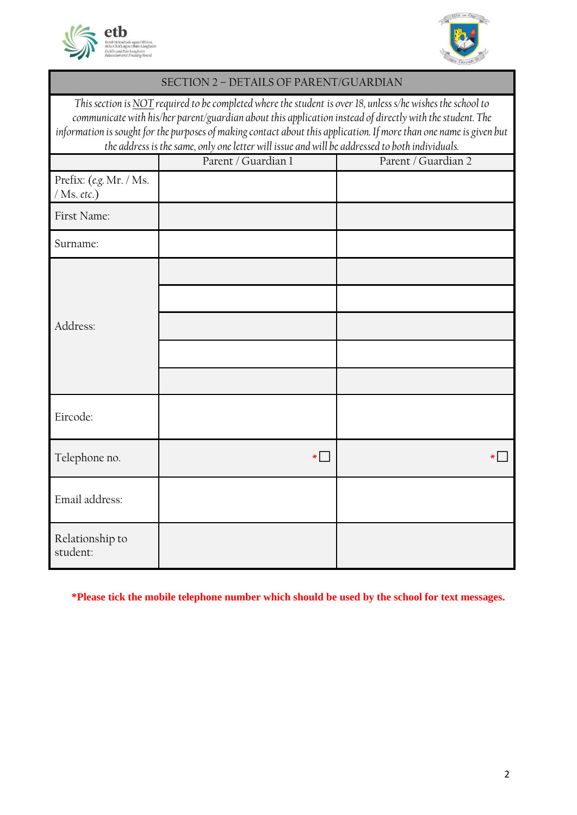



#### SECTION 2 – DETAILS OF PARENT/GUARDIAN

*This section is NOT required to be completed where the student is over 18, unless s/he wishes the school to communicate with his/her parent/guardian about this application instead of directly with the student. The information is sought for the purposes of making contact about this application. If more than one name is given but the address is the same, only one letter will issue and will be addressed to both individuals.*

|                                          | Parent / Guardian I | Parent / Guardian 2 |
|------------------------------------------|---------------------|---------------------|
| Prefix: (e.g. Mr. / Ms.<br>$/$ Ms. etc.) |                     |                     |
| First Name:                              |                     |                     |
| Surname:                                 |                     |                     |
|                                          |                     |                     |
|                                          |                     |                     |
| Address:                                 |                     |                     |
|                                          |                     |                     |
|                                          |                     |                     |
| Eircode:                                 |                     |                     |
| Telephone no.                            | $\ast$              |                     |
| Email address:                           |                     |                     |
| Relationship to<br>student:              |                     |                     |

**\*Please tick the mobile telephone number which should be used by the school for text messages.**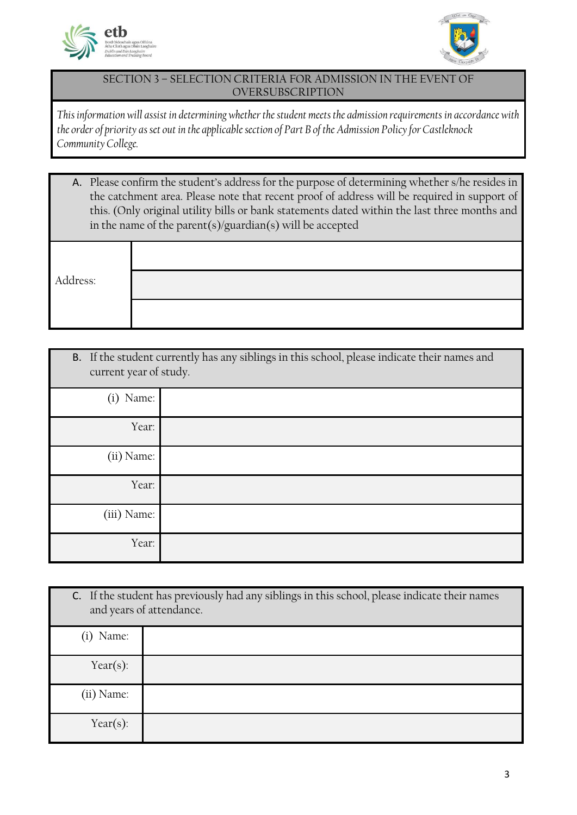



#### SECTION 3 – SELECTION CRITERIA FOR ADMISSION IN THE EVENT OF **OVERSUBSCRIPTION**

*This information will assist in determining whether the student meets the admission requirements in accordance with the order of priority as set out in the applicable section of Part B of the Admission Policy for Castleknock Community College.*

| A. Please confirm the student's address for the purpose of determining whether s/he resides in |
|------------------------------------------------------------------------------------------------|
| the catchment area. Please note that recent proof of address will be required in support of    |
| this. (Only original utility bills or bank statements dated within the last three months and   |
| in the name of the parent(s)/guardian(s) will be accepted                                      |

Address:

| current year of study. | B. If the student currently has any siblings in this school, please indicate their names and |
|------------------------|----------------------------------------------------------------------------------------------|
| Name:<br>(i)           |                                                                                              |
| Year:                  |                                                                                              |
| (ii) Name:             |                                                                                              |
| Year:                  |                                                                                              |
| (iii) Name:            |                                                                                              |
| Year:                  |                                                                                              |

|              | C. If the student has previously had any siblings in this school, please indicate their names<br>and years of attendance. |
|--------------|---------------------------------------------------------------------------------------------------------------------------|
| (i) Name:    |                                                                                                                           |
| Year $(s)$ : |                                                                                                                           |
| (ii) Name:   |                                                                                                                           |
| Year $(s)$ : |                                                                                                                           |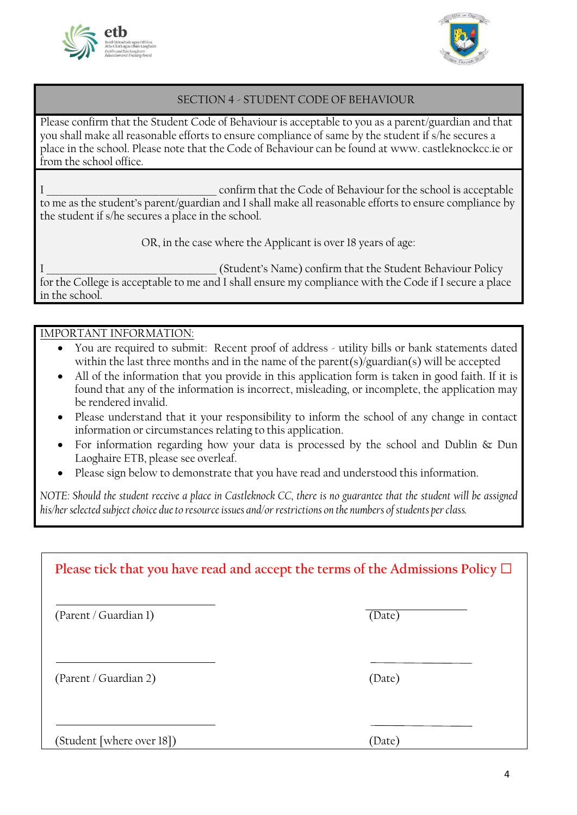



#### SECTION 4 - STUDENT CODE OF BEHAVIOUR

Please confirm that the Student Code of Behaviour is acceptable to you as a parent/guardian and that you shall make all reasonable efforts to ensure compliance of same by the student if s/he secures a place in the school. Please note that the Code of Behaviour can be found at www. castleknockcc.ie or from the school office.

I confirm that the Code of Behaviour for the school is acceptable to me as the student's parent/guardian and I shall make all reasonable efforts to ensure compliance by the student if s/he secures a place in the school.

OR, in the case where the Applicant is over 18 years of age:

I \_\_\_\_\_\_\_\_\_\_\_\_\_\_\_\_\_\_\_\_\_\_\_\_\_\_\_\_\_\_\_\_\_\_\_\_\_\_\_ (Student's Name) confirm that the Student Behaviour Policy for the College is acceptable to me and I shall ensure my compliance with the Code if I secure a place in the school.

IMPORTANT INFORMATION:

- You are required to submit: Recent proof of address utility bills or bank statements dated within the last three months and in the name of the parent(s)/guardian(s) will be accepted
- All of the information that you provide in this application form is taken in good faith. If it is found that any of the information is incorrect, misleading, or incomplete, the application may be rendered invalid.
- Please understand that it your responsibility to inform the school of any change in contact information or circumstances relating to this application.
- For information regarding how your data is processed by the school and Dublin & Dun Laoghaire ETB, please see overleaf.
- Please sign below to demonstrate that you have read and understood this information.

*NOTE: Should the student receive a place in Castleknock CC, there is no guarantee that the student will be assigned his/her selected subject choice due to resource issues and/or restrictions on the numbers of students per class.*

| Please tick that you have read and accept the terms of the Admissions Policy $\Box$ |        |  |  |
|-------------------------------------------------------------------------------------|--------|--|--|
| (Parent / Guardian 1)                                                               | (Date) |  |  |
| (Parent / Guardian 2)                                                               | (Date) |  |  |
| (Student [where over 18])                                                           | (Date) |  |  |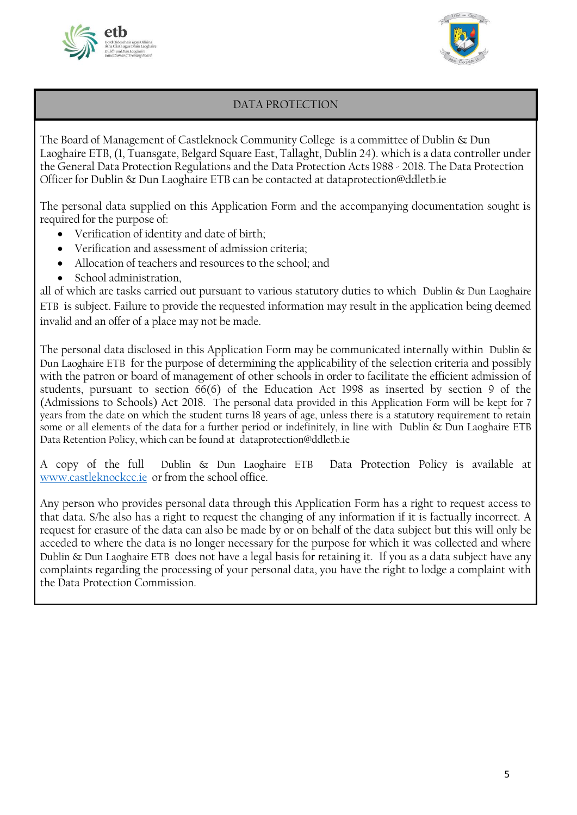



### DATA PROTECTION

The Board of Management of Castleknock Community College is a committee of Dublin & Dun Laoghaire ETB, (1, Tuansgate, Belgard Square East, Tallaght, Dublin 24). which is a data controller under the General Data Protection Regulations and the Data Protection Acts 1988 - 2018. The Data Protection Officer for Dublin & Dun Laoghaire ETB can be contacted at dataprotection@ddletb.ie

The personal data supplied on this Application Form and the accompanying documentation sought is required for the purpose of:

- Verification of identity and date of birth;
- Verification and assessment of admission criteria;
- Allocation of teachers and resources to the school; and
- School administration,

all of which are tasks carried out pursuant to various statutory duties to which Dublin & Dun Laoghaire ETB is subject. Failure to provide the requested information may result in the application being deemed invalid and an offer of a place may not be made.

The personal data disclosed in this Application Form may be communicated internally within Dublin  $\&$ Dun Laoghaire ETB for the purpose of determining the applicability of the selection criteria and possibly with the patron or board of management of other schools in order to facilitate the efficient admission of students, pursuant to section 66(6) of the Education Act 1998 as inserted by section 9 of the (Admissions to Schools) Act 2018. The personal data provided in this Application Form will be kept for 7 years from the date on which the student turns 18 years of age, unless there is a statutory requirement to retain some or all elements of the data for a further period or indefinitely, in line with Dublin & Dun Laoghaire ETB Data Retention Policy, which can be found at dataprotection@ddletb.ie

A copy of the full Dublin & Dun Laoghaire ETB Data Protection Policy is available at [www.castleknockcc.ie](http://www.castleknockcc.ie/) or from the school office.

Any person who provides personal data through this Application Form has a right to request access to that data. S/he also has a right to request the changing of any information if it is factually incorrect. A request for erasure of the data can also be made by or on behalf of the data subject but this will only be acceded to where the data is no longer necessary for the purpose for which it was collected and where Dublin & Dun Laoghaire ETB does not have a legal basis for retaining it. If you as a data subject have any complaints regarding the processing of your personal data, you have the right to lodge a complaint with the Data Protection Commission.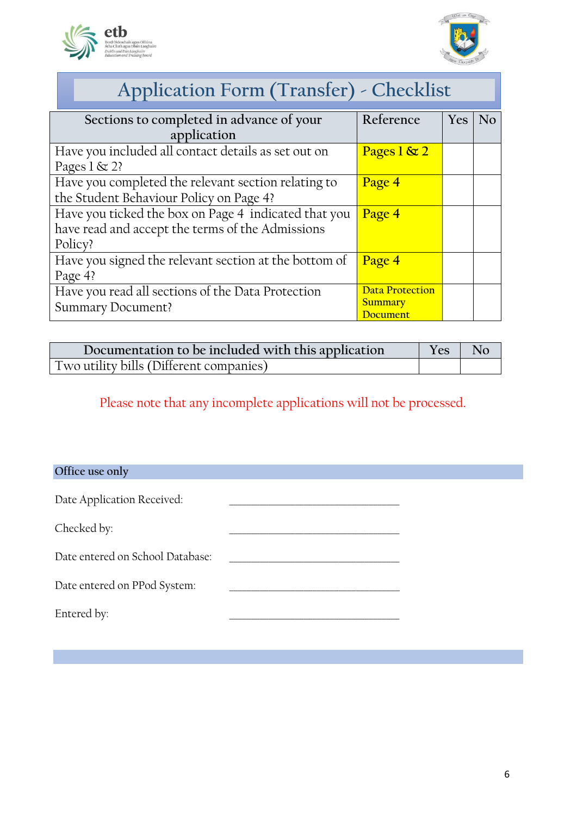



| Application Form (Transfer) - Checklist |  |
|-----------------------------------------|--|
|                                         |  |

| Sections to completed in advance of your              | Reference              | Yes | N <sub>o</sub> |
|-------------------------------------------------------|------------------------|-----|----------------|
| application                                           |                        |     |                |
| Have you included all contact details as set out on   | Pages $1 \& 2$         |     |                |
| Pages $1 \& 2?$                                       |                        |     |                |
| Have you completed the relevant section relating to   | Page 4                 |     |                |
| the Student Behaviour Policy on Page 4?               |                        |     |                |
| Have you ticked the box on Page 4 indicated that you  | Page 4                 |     |                |
| have read and accept the terms of the Admissions      |                        |     |                |
| Policy?                                               |                        |     |                |
| Have you signed the relevant section at the bottom of | Page 4                 |     |                |
| Page 4?                                               |                        |     |                |
| Have you read all sections of the Data Protection     | <b>Data Protection</b> |     |                |
| <b>Summary Document?</b>                              | <b>Summary</b>         |     |                |
|                                                       | Document               |     |                |

| Documentation to be included with this application |  | No |
|----------------------------------------------------|--|----|
| Two utility bills (Different companies)            |  |    |

Please note that any incomplete applications will not be processed.

**Office use only**